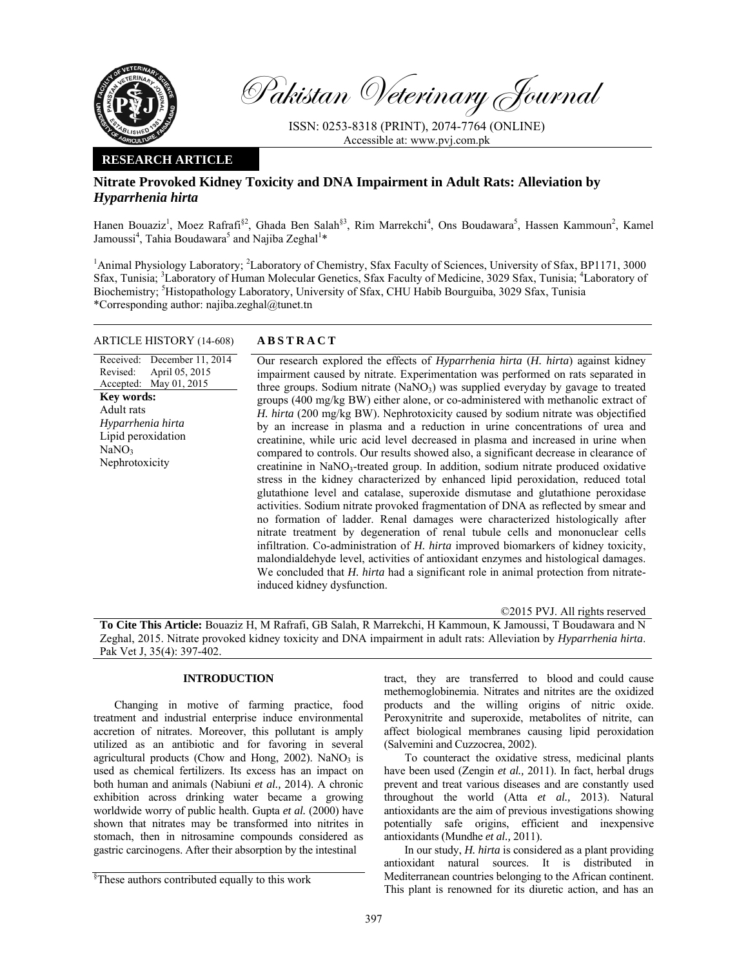

Pakistan Veterinary Journal

ISSN: 0253-8318 (PRINT), 2074-7764 (ONLINE) Accessible at: www.pvj.com.pk

## **RESEARCH ARTICLE**

# **Nitrate Provoked Kidney Toxicity and DNA Impairment in Adult Rats: Alleviation by** *Hyparrhenia hirta*

Hanen Bouaziz<sup>1</sup>, Moez Rafrafi<sup>§2</sup>, Ghada Ben Salah<sup>§3</sup>, Rim Marrekchi<sup>4</sup>, Ons Boudawara<sup>5</sup>, Hassen Kammoun<sup>2</sup>, Kamel Jamoussi<sup>4</sup>, Tahia Boudawara<sup>5</sup> and Najiba Zeghal<sup>1</sup>\*

<sup>1</sup>Animal Physiology Laboratory; <sup>2</sup>Laboratory of Chemistry, Sfax Faculty of Sciences, University of Sfax, BP1171, 3000 Sfax, Tunisia; <sup>3</sup>Laboratory of Human Molecular Genetics, Sfax Faculty of Medicine, 3029 Sfax, Tunisia; <sup>4</sup>Laboratory of Biochemistry; <sup>5</sup>Histopathology Laboratory, University of Sfax, CHU Habib Bourguiba, 3029 Sfax, Tunisia \*Corresponding author: najiba.zeghal@tunet.tn

### ARTICLE HISTORY (14-608) **ABSTRACT**

Received: December 11, 2014 Revised: Accepted: April 05, 2015 May 01, 2015 Our research explored the effects of *Hyparrhenia hirta* (*H. hirta*) against kidney impairment caused by nitrate. Experimentation was performed on rats separated in three groups. Sodium nitrate  $(NaNO<sub>3</sub>)$  was supplied everyday by gavage to treated groups (400 mg/kg BW) either alone, or co-administered with methanolic extract of *H. hirta* (200 mg/kg BW). Nephrotoxicity caused by sodium nitrate was objectified by an increase in plasma and a reduction in urine concentrations of urea and creatinine, while uric acid level decreased in plasma and increased in urine when compared to controls. Our results showed also, a significant decrease in clearance of creatinine in  $NaNO<sub>3</sub>$ -treated group. In addition, sodium nitrate produced oxidative stress in the kidney characterized by enhanced lipid peroxidation, reduced total glutathione level and catalase, superoxide dismutase and glutathione peroxidase activities. Sodium nitrate provoked fragmentation of DNA as reflected by smear and no formation of ladder. Renal damages were characterized histologically after nitrate treatment by degeneration of renal tubule cells and mononuclear cells infiltration. Co-administration of *H. hirta* improved biomarkers of kidney toxicity, malondialdehyde level, activities of antioxidant enzymes and histological damages. We concluded that *H. hirta* had a significant role in animal protection from nitrateinduced kidney dysfunction. **Key words:**  Adult rats *Hyparrhenia hirta*  Lipid peroxidation  $NaNO<sub>3</sub>$ Nephrotoxicity

©2015 PVJ. All rights reserved

**To Cite This Article:** Bouaziz H, M Rafrafi, GB Salah, R Marrekchi, H Kammoun, K Jamoussi, T Boudawara and N Zeghal, 2015. Nitrate provoked kidney toxicity and DNA impairment in adult rats: Alleviation by *Hyparrhenia hirta*. Pak Vet J, 35(4): 397-402.

## **INTRODUCTION**

Changing in motive of farming practice, food treatment and industrial enterprise induce environmental accretion of nitrates. Moreover, this pollutant is amply utilized as an antibiotic and for favoring in several agricultural products (Chow and Hong, 2002). NaNO<sub>3</sub> is used as chemical fertilizers. Its excess has an impact on both human and animals (Nabiuni *et al.,* 2014). A chronic exhibition across drinking water became a growing worldwide worry of public health. Gupta *et al.* (2000) have shown that nitrates may be transformed into nitrites in stomach, then in nitrosamine compounds considered as gastric carcinogens. After their absorption by the intestinal

tract, they are transferred to blood and could cause methemoglobinemia. Nitrates and nitrites are the oxidized products and the willing origins of nitric oxide. Peroxynitrite and superoxide, metabolites of nitrite, can affect biological membranes causing lipid peroxidation (Salvemini and Cuzzocrea, 2002).

To counteract the oxidative stress, medicinal plants have been used (Zengin *et al.,* 2011). In fact, herbal drugs prevent and treat various diseases and are constantly used throughout the world (Atta *et al.,* 2013). Natural antioxidants are the aim of previous investigations showing potentially safe origins, efficient and inexpensive antioxidants (Mundhe *et al.,* 2011).

In our study, *H. hirta* is considered as a plant providing antioxidant natural sources. It is distributed in Mediterranean countries belonging to the African continent. This plant is renowned for its diuretic action, and has an

<sup>§</sup> These authors contributed equally to this work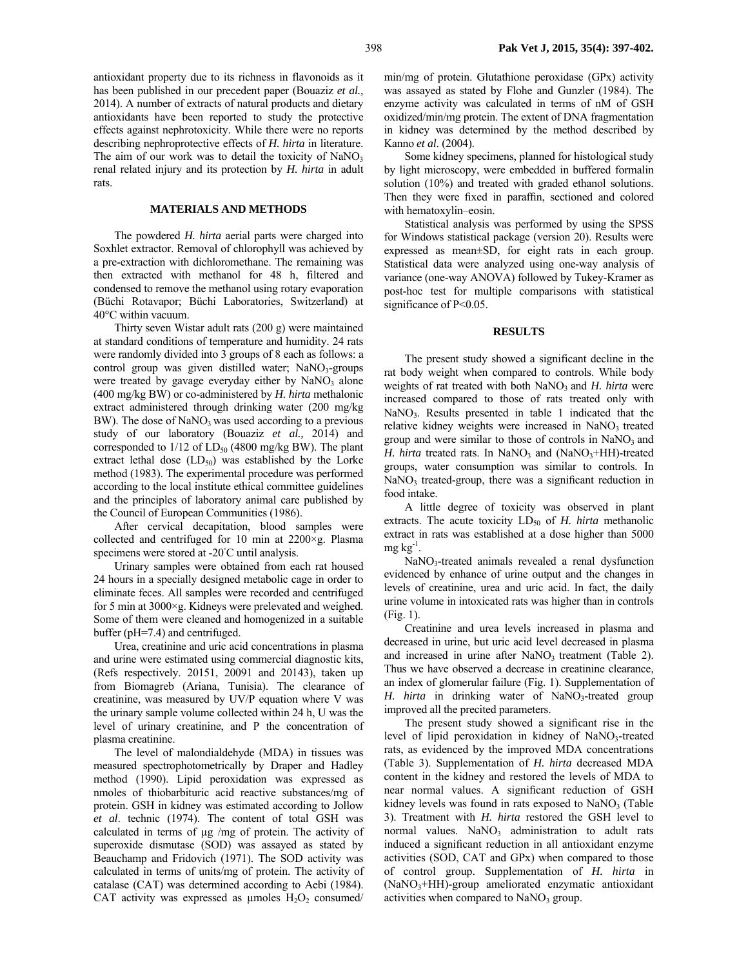antioxidant property due to its richness in flavonoids as it has been published in our precedent paper (Bouaziz *et al.,*  2014). A number of extracts of natural products and dietary antioxidants have been reported to study the protective effects against nephrotoxicity. While there were no reports describing nephroprotective effects of *H. hirta* in literature. The aim of our work was to detail the toxicity of  $NaNO<sub>3</sub>$ renal related injury and its protection by *H. hirta* in adult rats.

#### **MATERIALS AND METHODS**

The powdered *H. hirta* aerial parts were charged into Soxhlet extractor. Removal of chlorophyll was achieved by a pre-extraction with dichloromethane. The remaining was then extracted with methanol for 48 h, filtered and condensed to remove the methanol using rotary evaporation (Büchi Rotavapor; Büchi Laboratories, Switzerland) at 40°C within vacuum.

Thirty seven Wistar adult rats (200 g) were maintained at standard conditions of temperature and humidity. 24 rats were randomly divided into 3 groups of 8 each as follows: a control group was given distilled water;  $NaNO<sub>3</sub>$ -groups were treated by gavage everyday either by  $NaNO<sub>3</sub>$  alone (400 mg/kg BW) or co-administered by *H. hirta* methalonic extract administered through drinking water (200 mg/kg BW). The dose of  $NaNO<sub>3</sub>$  was used according to a previous study of our laboratory (Bouaziz *et al.,* 2014) and corresponded to  $1/12$  of  $LD_{50}$  (4800 mg/kg BW). The plant extract lethal dose  $(LD_{50})$  was established by the Lorke method (1983). The experimental procedure was performed according to the local institute ethical committee guidelines and the principles of laboratory animal care published by the Council of European Communities (1986).

After cervical decapitation, blood samples were collected and centrifuged for 10 min at 2200×g. Plasma specimens were stored at -20℃ until analysis.

Urinary samples were obtained from each rat housed 24 hours in a specially designed metabolic cage in order to eliminate feces. All samples were recorded and centrifuged for 5 min at 3000×g. Kidneys were prelevated and weighed. Some of them were cleaned and homogenized in a suitable buffer (pH=7.4) and centrifuged.

Urea, creatinine and uric acid concentrations in plasma and urine were estimated using commercial diagnostic kits, (Refs respectively. 20151, 20091 and 20143), taken up from Biomagreb (Ariana, Tunisia). The clearance of creatinine, was measured by UV/P equation where V was the urinary sample volume collected within 24 h, U was the level of urinary creatinine, and P the concentration of plasma creatinine.

The level of malondialdehyde (MDA) in tissues was measured spectrophotometrically by Draper and Hadley method (1990). Lipid peroxidation was expressed as nmoles of thiobarbituric acid reactive substances/mg of protein. GSH in kidney was estimated according to Jollow *et al*. technic (1974). The content of total GSH was calculated in terms of µg /mg of protein. The activity of superoxide dismutase (SOD) was assayed as stated by Beauchamp and Fridovich (1971). The SOD activity was calculated in terms of units/mg of protein. The activity of catalase (CAT) was determined according to Aebi (1984). CAT activity was expressed as  $\mu$ moles H<sub>2</sub>O<sub>2</sub> consumed/

min/mg of protein. Glutathione peroxidase (GPx) activity was assayed as stated by Flohe and Gunzler (1984). The enzyme activity was calculated in terms of nM of GSH oxidized/min/mg protein. The extent of DNA fragmentation in kidney was determined by the method described by Kanno *et al*. (2004).

Some kidney specimens, planned for histological study by light microscopy, were embedded in buffered formalin solution (10%) and treated with graded ethanol solutions. Then they were fixed in paraffin, sectioned and colored with hematoxylin–eosin.

Statistical analysis was performed by using the SPSS for Windows statistical package (version 20). Results were expressed as mean±SD, for eight rats in each group. Statistical data were analyzed using one-way analysis of variance (one-way ANOVA) followed by Tukey-Kramer as post-hoc test for multiple comparisons with statistical significance of P<0.05.

#### **RESULTS**

The present study showed a significant decline in the rat body weight when compared to controls. While body weights of rat treated with both NaNO<sub>3</sub> and *H. hirta* were increased compared to those of rats treated only with  $NaNO<sub>3</sub>$ . Results presented in table 1 indicated that the relative kidney weights were increased in NaNO<sub>3</sub> treated group and were similar to those of controls in  $NaNO<sub>3</sub>$  and *H. hirta* treated rats. In NaNO<sub>3</sub> and (NaNO<sub>3</sub>+HH)-treated groups, water consumption was similar to controls. In  $NaNO<sub>3</sub>$  treated-group, there was a significant reduction in food intake.

A little degree of toxicity was observed in plant extracts. The acute toxicity  $LD_{50}$  of *H. hirta* methanolic extract in rats was established at a dose higher than 5000 mg kg-1.

 $NaNO<sub>3</sub>$ -treated animals revealed a renal dysfunction evidenced by enhance of urine output and the changes in levels of creatinine, urea and uric acid. In fact, the daily urine volume in intoxicated rats was higher than in controls (Fig. 1).

Creatinine and urea levels increased in plasma and decreased in urine, but uric acid level decreased in plasma and increased in urine after NaNO<sub>3</sub> treatment (Table 2). Thus we have observed a decrease in creatinine clearance, an index of glomerular failure (Fig. 1). Supplementation of *H. hirta* in drinking water of NaNO<sub>3</sub>-treated group improved all the precited parameters.

The present study showed a significant rise in the level of lipid peroxidation in kidney of  $NaNO<sub>3</sub>$ -treated rats, as evidenced by the improved MDA concentrations (Table 3). Supplementation of *H. hirta* decreased MDA content in the kidney and restored the levels of MDA to near normal values. A significant reduction of GSH kidney levels was found in rats exposed to  $NaNO<sub>3</sub>$  (Table 3). Treatment with *H. hirta* restored the GSH level to normal values.  $NaNO<sub>3</sub>$  administration to adult rats induced a significant reduction in all antioxidant enzyme activities (SOD, CAT and GPx) when compared to those of control group. Supplementation of *H. hirta* in (NaNO3+HH)-group ameliorated enzymatic antioxidant activities when compared to NaNO<sub>3</sub> group.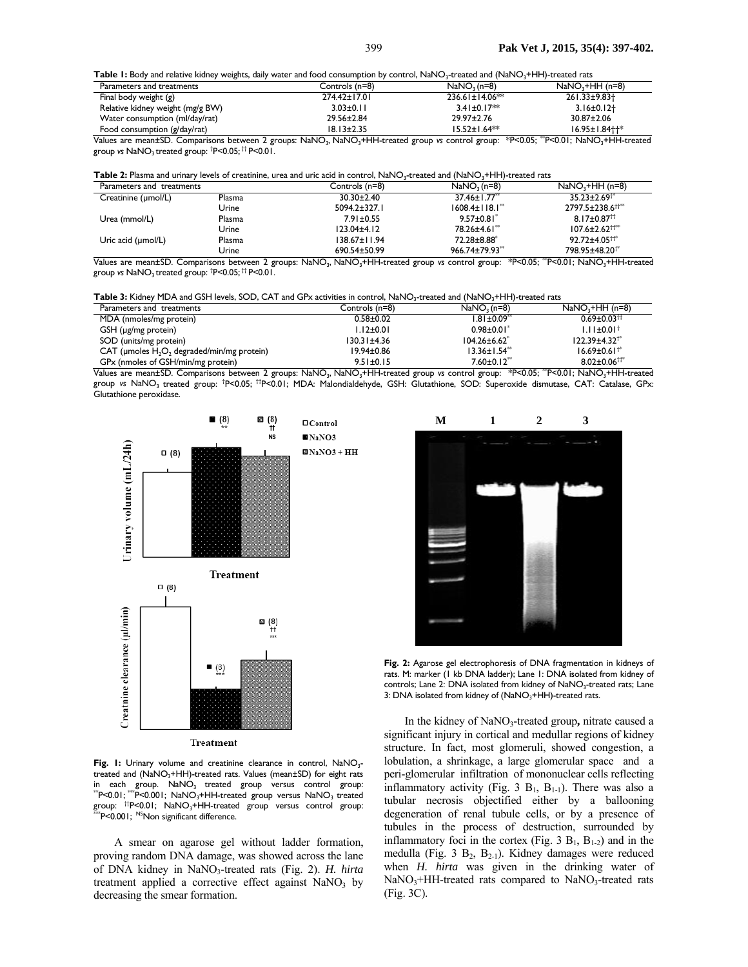Table 1: Body and relative kidney weights, daily water and food consumption by control, NaNO<sub>3</sub>-treated and (NaNO<sub>3</sub>+HH)-treated rats

| Parameters and treatments        | Controls (n=8)   | $NaNO3$ (n=8)         | $NaNO3+HH (n=8)$         |
|----------------------------------|------------------|-----------------------|--------------------------|
| Final body weight (g)            | 274.42±17.01     | $236.61 \pm 14.06$ ** | 261.33±9.83 <sup>+</sup> |
| Relative kidney weight (mg/g BW) | $3.03 \pm 0.11$  | $3.41 \pm 0.17**$     | $3.16 \pm 0.12$          |
| Water consumption (ml/day/rat)   | 29.56±2.84       | $29.97 \pm 2.76$      | $30.87 \pm 2.06$         |
| Food consumption (g/day/rat)     | $18.13 \pm 2.35$ | $15.52 \pm 1.64**$    | $16.95 \pm 1.84$         |

Values are mean±SD. Comparisons between 2 groups: NaNO<sub>3</sub>, NaNO<sub>3</sub>+HH-treated group *vs* control group: \*P<0.05; "P<0.01; NaNO<sub>3</sub>+HH-treated group *v*s NaNO<sub>3</sub> treated group: <sup>†</sup>P<0.05; <sup>††</sup> P<0.01.

|  |  | Table 2: Plasma and urinary levels of creatinine, urea and uric acid in control, NaNO <sub>3</sub> -treated and (NaNO <sub>3</sub> +HH)-treated rats |  |
|--|--|------------------------------------------------------------------------------------------------------------------------------------------------------|--|
|--|--|------------------------------------------------------------------------------------------------------------------------------------------------------|--|

| Parameters and treatments      |                 | Controls (n=8)     | $NaNO3$ (n=8)                    | $NaNO3+HH (n=8)$                 |
|--------------------------------|-----------------|--------------------|----------------------------------|----------------------------------|
| Creatinine (µmol/L)            | Plasma          | $30.30 \pm 2.40$   | 37.46±1.77 <sup>**</sup>         | $35.23 \pm 2.69^{+8}$            |
|                                | Urine           | $5094.2 \pm 327.1$ | $1608.4 \pm 118.1$ <sup>**</sup> | 2797.5±238.6 <sup>††**</sup>     |
| Urea (mmol/L)                  | Plasma          | $7.91 \pm 0.55$    | $9.57 \pm 0.81$                  | $8.17 \pm 0.87$ <sup>tt</sup>    |
|                                | Urine           | $123.04 \pm 4.12$  | 78.26±4.61 <sup>**</sup>         | $107.6 \pm 2.62$ <sup>++**</sup> |
| Uric acid $(\mu \text{mol/L})$ | Plasma          | $138.67 \pm 11.94$ | 72.28±8.88 <sup>*</sup>          | $92.72 \pm 4.05$ <sup>++*</sup>  |
| .<br>-- -                      | Urine<br>$\sim$ | 690.54±50.99       | $966.74 \pm 79.93$ <sup>*</sup>  | 798.95±48.20 <sup>+*</sup>       |

Values are mean±SD. Comparisons between 2 groups: NaNO<sub>3</sub>, NaNO<sub>3</sub>+HH-treated group *vs* control group: \*P<0.05; <sup>\*\*</sup>P<0.01; NaNO<sub>3</sub>+HH-treated group *v*s NaNO<sub>3</sub> treated group: <sup>†</sup>P<0.05; <sup>††</sup> P<0.01.

Table 3: Kidney MDA and GSH levels, SOD, CAT and GPx activities in control, NaNO<sub>3</sub>-treated and (NaNO<sub>3</sub>+HH)-treated rats

| Parameters and treatments                     | Controls (n=8)    | $NaNO3$ (n=8)                 | $NaNO3+HH (n=8)$               |
|-----------------------------------------------|-------------------|-------------------------------|--------------------------------|
| MDA (nmoles/mg protein)                       | $0.58 + 0.02$     | $1.81 \pm 0.09$ <sup>**</sup> | $0.69 \pm 0.03$ <sup>tt</sup>  |
| GSH (µg/mg protein)                           | $1.12 \pm 0.01$   | $0.98 \pm 0.01$               | $1.11 \pm 0.01^+$              |
| SOD (units/mg protein)                        | $130.31 \pm 4.36$ | $104.26 \pm 6.62$             | $122.39 \pm 4.32^{+8}$         |
| CAT (µmoles $H_2O_2$ degraded/min/mg protein) | 19.94±0.86        | $13.36 \pm 1.54$ **           | $16.69 \pm 0.61$ <sup>**</sup> |
| GPx (nmoles of GSH/min/mg protein)            | $9.51 \pm 0.15$   | $7.60 \pm 0.12$ <sup>**</sup> | $8.02 \pm 0.06$ <sup>++*</sup> |

Values are mean±SD. Comparisons between 2 groups: NaNO<sub>3</sub>, NaNO<sub>3</sub>+HH-treated group *vs* control group: \*P<0.05; "P<0.01; NaNO<sub>3</sub>+HH-treated group *v*s NaNO<sub>3</sub> treated group: †P<0.05; ††P<0.01; MDA: Malondialdehyde, GSH: Glutathione, SOD: Superoxide dismutase, CAT: Catalase, GPx: Glutathione peroxidase.



Fig. 1: Urinary volume and creatinine clearance in control, NaNO<sub>3</sub>treated and (NaNO<sub>3</sub>+HH)-treated rats. Values (mean±SD) for eight rats in each group.  $NaNO_3$  treated group versus control group:<br>"P<0.01;""P<0.001; NaNO<sub>3</sub>+HH-treated group versus NaNO<sub>3</sub> treated group: ††P<0.01; NaNO<sub>3</sub>+HH-treated group versus control group:<br>\*\*\*P<0.001; <sup>NS</sup>Non significant difference.

A smear on agarose gel without ladder formation, proving random DNA damage, was showed across the lane of DNA kidney in NaNO3-treated rats (Fig. 2). *H. hirta* treatment applied a corrective effect against  $NaNO<sub>3</sub>$  by decreasing the smear formation.



**Fig. 2:** Agarose gel electrophoresis of DNA fragmentation in kidneys of rats. M: marker (1 kb DNA ladder); Lane 1: DNA isolated from kidney of controls; Lane 2: DNA isolated from kidney of NaNO<sub>3</sub>-treated rats; Lane 3: DNA isolated from kidney of (NaNO<sub>3</sub>+HH)-treated rats.

In the kidney of NaNO<sub>3</sub>-treated group, nitrate caused a significant injury in cortical and medullar regions of kidney structure. In fact, most glomeruli, showed congestion, a lobulation, a shrinkage, a large glomerular space and a peri-glomerular infiltration of mononuclear cells reflecting inflammatory activity (Fig. 3  $B_1$ ,  $B_{1-1}$ ). There was also a tubular necrosis objectified either by a ballooning degeneration of renal tubule cells, or by a presence of tubules in the process of destruction, surrounded by inflammatory foci in the cortex (Fig. 3  $B_1$ ,  $B_{1-2}$ ) and in the medulla (Fig. 3  $B_2$ ,  $B_{2-1}$ ). Kidney damages were reduced when *H. hirta* was given in the drinking water of  $NaNO<sub>3</sub>+HH-treated$  rats compared to  $NaNO<sub>3</sub>-treated$  rats (Fig. 3C).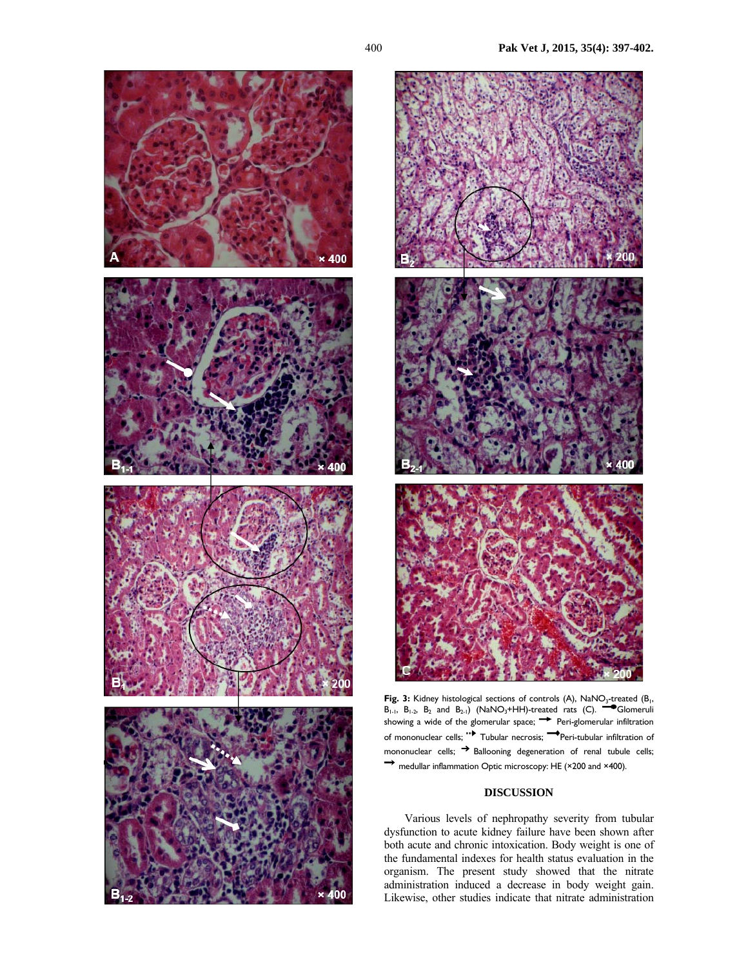



Fig. 3: Kidney histological sections of controls (A), NaNO<sub>3</sub>-treated (B<sub>1</sub>,  $B_{1-1}$ ,  $B_{1-2}$ ,  $B_2$  and  $B_{2-1}$ ) (NaNO<sub>3</sub>+HH)-treated rats (C). **Glomeruli** showing a wide of the glomerular space;  $\rightarrow$  Peri-glomerular infiltration of mononuclear cells; "Tubular necrosis; Peri-tubular infiltration of mononuclear cells;  $\rightarrow$  Ballooning degeneration of renal tubule cells; → medullar inflammation Optic microscopy: HE (×200 and ×400).

## **DISCUSSION**

Various levels of nephropathy severity from tubular dysfunction to acute kidney failure have been shown after both acute and chronic intoxication. Body weight is one of the fundamental indexes for health status evaluation in the organism. The present study showed that the nitrate administration induced a decrease in body weight gain. Likewise, other studies indicate that nitrate administration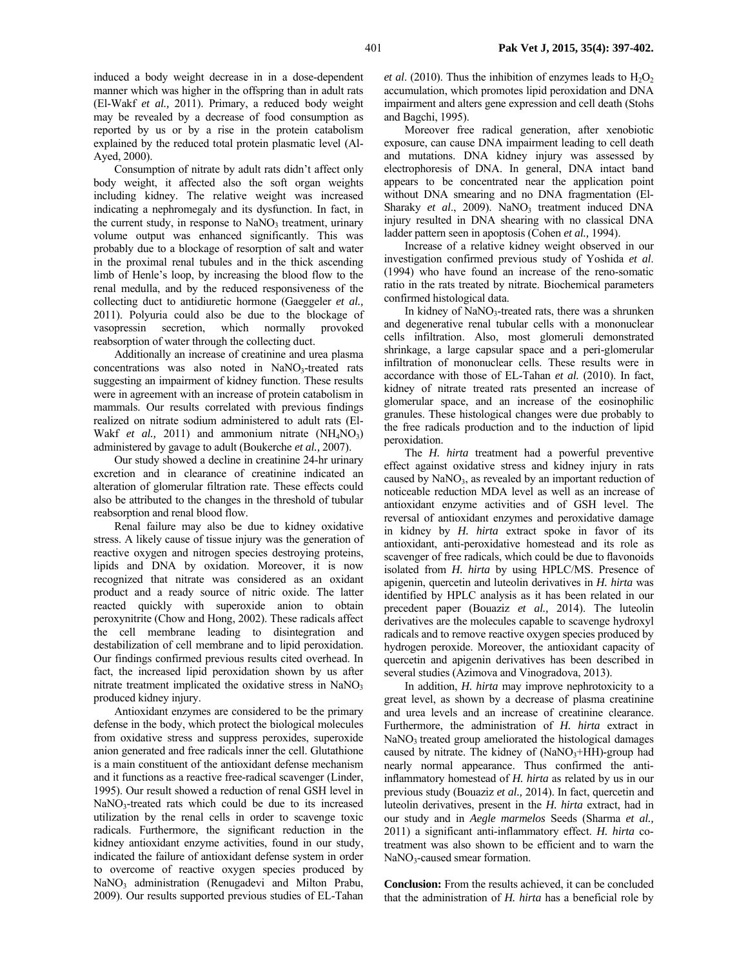induced a body weight decrease in in a dose-dependent manner which was higher in the offspring than in adult rats (El-Wakf *et al.,* 2011). Primary, a reduced body weight may be revealed by a decrease of food consumption as reported by us or by a rise in the protein catabolism explained by the reduced total protein plasmatic level (Al-Ayed, 2000).

Consumption of nitrate by adult rats didn't affect only body weight, it affected also the soft organ weights including kidney. The relative weight was increased indicating a nephromegaly and its dysfunction. In fact, in the current study, in response to  $NaNO<sub>3</sub>$  treatment, urinary volume output was enhanced significantly. This was probably due to a blockage of resorption of salt and water in the proximal renal tubules and in the thick ascending limb of Henle's loop, by increasing the blood flow to the renal medulla, and by the reduced responsiveness of the collecting duct to antidiuretic hormone (Gaeggeler *et al.,* 2011). Polyuria could also be due to the blockage of vasopressin secretion, which normally provoked reabsorption of water through the collecting duct.

Additionally an increase of creatinine and urea plasma concentrations was also noted in NaNO<sub>3</sub>-treated rats suggesting an impairment of kidney function. These results were in agreement with an increase of protein catabolism in mammals. Our results correlated with previous findings realized on nitrate sodium administered to adult rats (El-Wakf *et al.*, 2011) and ammonium nitrate  $(NH<sub>4</sub>NO<sub>3</sub>)$ administered by gavage to adult (Boukerche *et al.,* 2007).

Our study showed a decline in creatinine 24-hr urinary excretion and in clearance of creatinine indicated an alteration of glomerular filtration rate. These effects could also be attributed to the changes in the threshold of tubular reabsorption and renal blood flow.

Renal failure may also be due to kidney oxidative stress. A likely cause of tissue injury was the generation of reactive oxygen and nitrogen species destroying proteins, lipids and DNA by oxidation. Moreover, it is now recognized that nitrate was considered as an oxidant product and a ready source of nitric oxide. The latter reacted quickly with superoxide anion to obtain peroxynitrite (Chow and Hong, 2002). These radicals affect the cell membrane leading to disintegration and destabilization of cell membrane and to lipid peroxidation. Our findings confirmed previous results cited overhead. In fact, the increased lipid peroxidation shown by us after nitrate treatment implicated the oxidative stress in  $NaNO<sub>3</sub>$ produced kidney injury.

Antioxidant enzymes are considered to be the primary defense in the body, which protect the biological molecules from oxidative stress and suppress peroxides, superoxide anion generated and free radicals inner the cell. Glutathione is a main constituent of the antioxidant defense mechanism and it functions as a reactive free-radical scavenger (Linder, 1995). Our result showed a reduction of renal GSH level in NaNO3-treated rats which could be due to its increased utilization by the renal cells in order to scavenge toxic radicals. Furthermore, the significant reduction in the kidney antioxidant enzyme activities, found in our study, indicated the failure of antioxidant defense system in order to overcome of reactive oxygen species produced by NaNO<sub>3</sub> administration (Renugadevi and Milton Prabu, 2009). Our results supported previous studies of EL-Tahan

*et al.* (2010). Thus the inhibition of enzymes leads to  $H_2O_2$ accumulation, which promotes lipid peroxidation and DNA impairment and alters gene expression and cell death (Stohs and Bagchi, 1995).

Moreover free radical generation, after xenobiotic exposure, can cause DNA impairment leading to cell death and mutations. DNA kidney injury was assessed by electrophoresis of DNA. In general, DNA intact band appears to be concentrated near the application point without DNA smearing and no DNA fragmentation (El-Sharaky et al., 2009). NaNO<sub>3</sub> treatment induced DNA injury resulted in DNA shearing with no classical DNA ladder pattern seen in apoptosis (Cohen *et al.,* 1994).

Increase of a relative kidney weight observed in our investigation confirmed previous study of Yoshida *et al*. (1994) who have found an increase of the reno-somatic ratio in the rats treated by nitrate. Biochemical parameters confirmed histological data.

In kidney of  $NaNO<sub>3</sub>$ -treated rats, there was a shrunken and degenerative renal tubular cells with a mononuclear cells infiltration. Also, most glomeruli demonstrated shrinkage, a large capsular space and a peri-glomerular infiltration of mononuclear cells. These results were in accordance with those of EL-Tahan *et al.* (2010). In fact, kidney of nitrate treated rats presented an increase of glomerular space, and an increase of the eosinophilic granules. These histological changes were due probably to the free radicals production and to the induction of lipid peroxidation.

The *H. hirta* treatment had a powerful preventive effect against oxidative stress and kidney injury in rats caused by  $NaNO<sub>3</sub>$ , as revealed by an important reduction of noticeable reduction MDA level as well as an increase of antioxidant enzyme activities and of GSH level. The reversal of antioxidant enzymes and peroxidative damage in kidney by *H. hirta* extract spoke in favor of its antioxidant, anti-peroxidative homestead and its role as scavenger of free radicals, which could be due to flavonoids isolated from *H. hirta* by using HPLC/MS. Presence of apigenin, quercetin and luteolin derivatives in *H. hirta* was identified by HPLC analysis as it has been related in our precedent paper (Bouaziz *et al.,* 2014). The luteolin derivatives are the molecules capable to scavenge hydroxyl radicals and to remove reactive oxygen species produced by hydrogen peroxide. Moreover, the antioxidant capacity of quercetin and apigenin derivatives has been described in several studies (Azimova and Vinogradova, 2013).

In addition, *H. hirta* may improve nephrotoxicity to a great level, as shown by a decrease of plasma creatinine and urea levels and an increase of creatinine clearance. Furthermore, the administration of *H. hirta* extract in NaNO<sub>3</sub> treated group ameliorated the histological damages caused by nitrate. The kidney of  $(NaNO<sub>3</sub>+HH)$ -group had nearly normal appearance. Thus confirmed the antiinflammatory homestead of *H. hirta* as related by us in our previous study (Bouaziz *et al.,* 2014). In fact, quercetin and luteolin derivatives, present in the *H. hirta* extract, had in our study and in *Aegle marmelos* Seeds (Sharma *et al.,* 2011) a significant anti-inflammatory effect. *H. hirta* cotreatment was also shown to be efficient and to warn the NaNO<sub>3</sub>-caused smear formation.

**Conclusion:** From the results achieved, it can be concluded that the administration of *H. hirta* has a beneficial role by